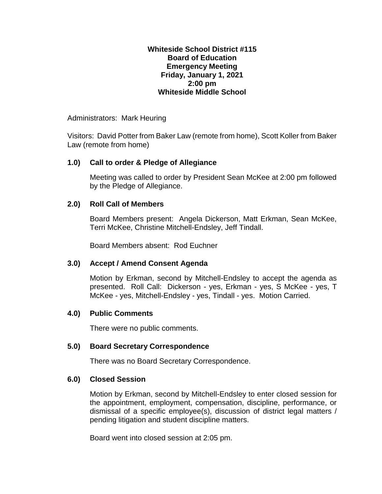#### **Whiteside School District #115 Board of Education Emergency Meeting Friday, January 1, 2021 2:00 pm Whiteside Middle School**

Administrators: Mark Heuring

Visitors: David Potter from Baker Law (remote from home), Scott Koller from Baker Law (remote from home)

### **1.0) Call to order & Pledge of Allegiance**

Meeting was called to order by President Sean McKee at 2:00 pm followed by the Pledge of Allegiance.

## **2.0) Roll Call of Members**

Board Members present: Angela Dickerson, Matt Erkman, Sean McKee, Terri McKee, Christine Mitchell-Endsley, Jeff Tindall.

Board Members absent: Rod Euchner

# **3.0) Accept / Amend Consent Agenda**

Motion by Erkman, second by Mitchell-Endsley to accept the agenda as presented. Roll Call: Dickerson - yes, Erkman - yes, S McKee - yes, T McKee - yes, Mitchell-Endsley - yes, Tindall - yes. Motion Carried.

### **4.0) Public Comments**

There were no public comments.

### **5.0) Board Secretary Correspondence**

There was no Board Secretary Correspondence.

### **6.0) Closed Session**

Motion by Erkman, second by Mitchell-Endsley to enter closed session for the appointment, employment, compensation, discipline, performance, or dismissal of a specific employee(s), discussion of district legal matters / pending litigation and student discipline matters.

Board went into closed session at 2:05 pm.